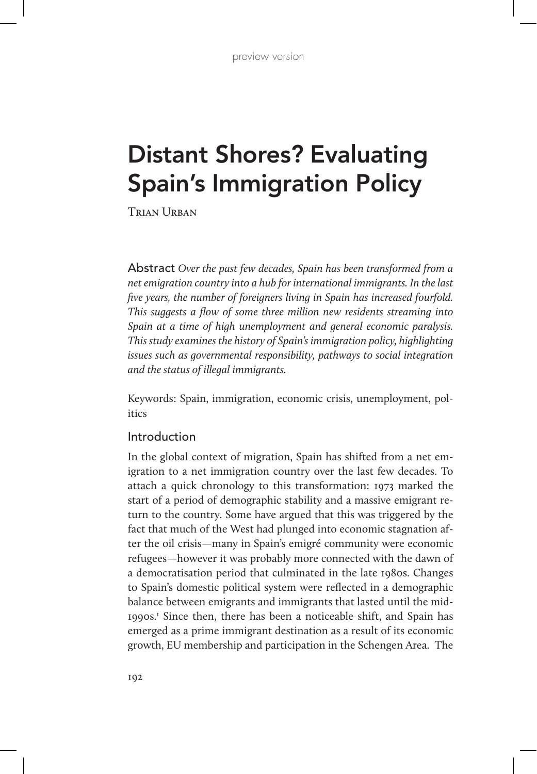# Distant Shores? Evaluating Spain's Immigration Policy

TRIAN URBAN

Abstract *Over the past few decades, Spain has been transformed from a net emigration country into a hub for international immigrants. In the last five years, the number of foreigners living in Spain has increased fourfold. This suggests a flow of some three million new residents streaming into Spain at a time of high unemployment and general economic paralysis. This study examines the history of Spain's immigration policy, highlighting issues such as governmental responsibility, pathways to social integration and the status of illegal immigrants.*

Keywords: Spain, immigration, economic crisis, unemployment, politics

## Introduction

In the global context of migration, Spain has shifted from a net emigration to a net immigration country over the last few decades. To attach a quick chronology to this transformation: 1973 marked the start of a period of demographic stability and a massive emigrant return to the country. Some have argued that this was triggered by the fact that much of the West had plunged into economic stagnation after the oil crisis—many in Spain's emigré community were economic refugees—however it was probably more connected with the dawn of a democratisation period that culminated in the late 1980s. Changes to Spain's domestic political system were reflected in a demographic balance between emigrants and immigrants that lasted until the mid-1990s.1 Since then, there has been a noticeable shift, and Spain has emerged as a prime immigrant destination as a result of its economic growth, EU membership and participation in the Schengen Area. The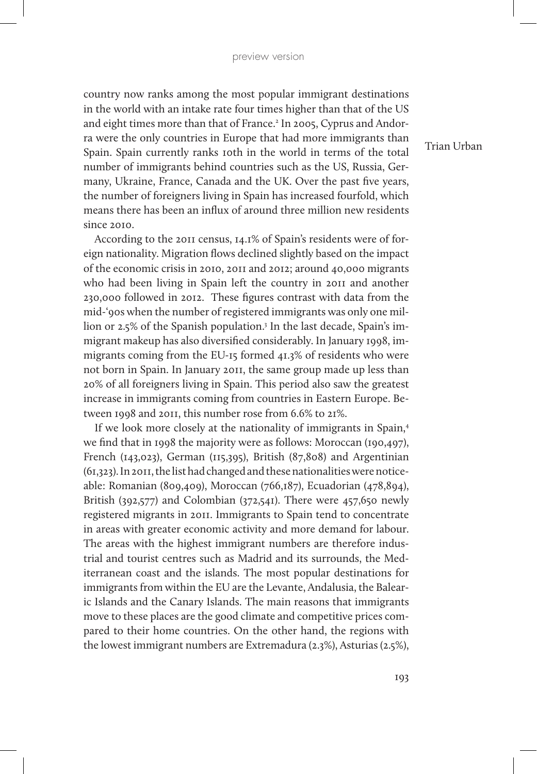country now ranks among the most popular immigrant destinations in the world with an intake rate four times higher than that of the US and eight times more than that of France.<sup>2</sup> In 2005, Cyprus and Andorra were the only countries in Europe that had more immigrants than Spain. Spain currently ranks 10th in the world in terms of the total number of immigrants behind countries such as the US, Russia, Germany, Ukraine, France, Canada and the UK. Over the past five years, the number of foreigners living in Spain has increased fourfold, which means there has been an influx of around three million new residents since 2010.

According to the 2011 census, 14.1% of Spain's residents were of foreign nationality. Migration flows declined slightly based on the impact of the economic crisis in 2010, 2011 and 2012; around 40,000 migrants who had been living in Spain left the country in 2011 and another 230,000 followed in 2012. These figures contrast with data from the mid-'90s when the number of registered immigrants was only one million or 2.5% of the Spanish population.3 In the last decade, Spain's immigrant makeup has also diversified considerably. In January 1998, immigrants coming from the EU-15 formed 41.3% of residents who were not born in Spain. In January 2011, the same group made up less than 20% of all foreigners living in Spain. This period also saw the greatest increase in immigrants coming from countries in Eastern Europe. Between 1998 and 2011, this number rose from 6.6% to 21%.

If we look more closely at the nationality of immigrants in Spain,4 we find that in 1998 the majority were as follows: Moroccan (190,497), French (143,023), German (115,395), British (87,808) and Argentinian (61,323). In 2011, the list had changed and these nationalities were noticeable: Romanian (809,409), Moroccan (766,187), Ecuadorian (478,894), British (392,577) and Colombian (372,541). There were 457,650 newly registered migrants in 2011. Immigrants to Spain tend to concentrate in areas with greater economic activity and more demand for labour. The areas with the highest immigrant numbers are therefore industrial and tourist centres such as Madrid and its surrounds, the Mediterranean coast and the islands. The most popular destinations for immigrants from within the EU are the Levante, Andalusia, the Balearic Islands and the Canary Islands. The main reasons that immigrants move to these places are the good climate and competitive prices compared to their home countries. On the other hand, the regions with the lowest immigrant numbers are Extremadura (2.3%), Asturias (2.5%),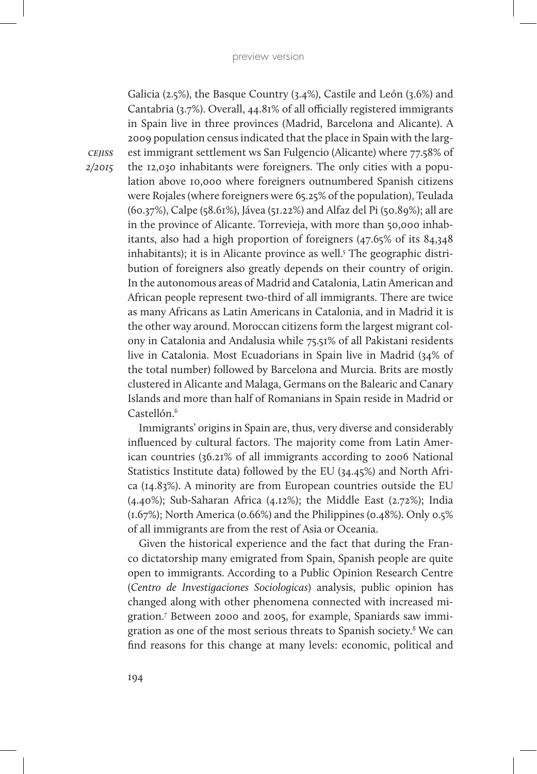Galicia (2.5%), the Basque Country (3.4%), Castile and León (3.6%) and Cantabria (3.7%). Overall, 44.81% of all officially registered immigrants in Spain live in three provinces (Madrid, Barcelona and Alicante). A 2009 population census indicated that the place in Spain with the largest immigrant settlement ws San Fulgencio (Alicante) where 77.58% of the 12,030 inhabitants were foreigners. The only cities with a population above 10,000 where foreigners outnumbered Spanish citizens were Rojales (where foreigners were 65.25% of the population), Teulada (60.37%), Calpe (58.61%), Jávea (51.22%) and Alfaz del Pi (50.89%); all are in the province of Alicante. Torrevieja, with more than 50,000 inhabitants, also had a high proportion of foreigners (47.65% of its 84,348 inhabitants); it is in Alicante province as well.<sup>5</sup> The geographic distribution of foreigners also greatly depends on their country of origin. In the autonomous areas of Madrid and Catalonia, Latin American and African people represent two-third of all immigrants. There are twice as many Africans as Latin Americans in Catalonia, and in Madrid it is the other way around. Moroccan citizens form the largest migrant colony in Catalonia and Andalusia while 75.51% of all Pakistani residents live in Catalonia. Most Ecuadorians in Spain live in Madrid (34% of the total number) followed by Barcelona and Murcia. Brits are mostly clustered in Alicante and Malaga, Germans on the Balearic and Canary Islands and more than half of Romanians in Spain reside in Madrid or Castellón.<sup>6</sup>

Immigrants' origins in Spain are, thus, very diverse and considerably influenced by cultural factors. The majority come from Latin American countries (36.21% of all immigrants according to 2006 National Statistics Institute data) followed by the EU (34.45%) and North Africa (14.83%). A minority are from European countries outside the EU (4.40%); Sub-Saharan Africa (4.12%); the Middle East (2.72%); India (1.67%); North America (0.66%) and the Philippines (0.48%). Only 0.5% of all immigrants are from the rest of Asia or Oceania.

Given the historical experience and the fact that during the Franco dictatorship many emigrated from Spain, Spanish people are quite open to immigrants. According to a Public Opinion Research Centre (*Centro de Investigaciones Sociologicas*) analysis, public opinion has changed along with other phenomena connected with increased migration.7 Between 2000 and 2005, for example, Spaniards saw immigration as one of the most serious threats to Spanish society.<sup>8</sup> We can find reasons for this change at many levels: economic, political and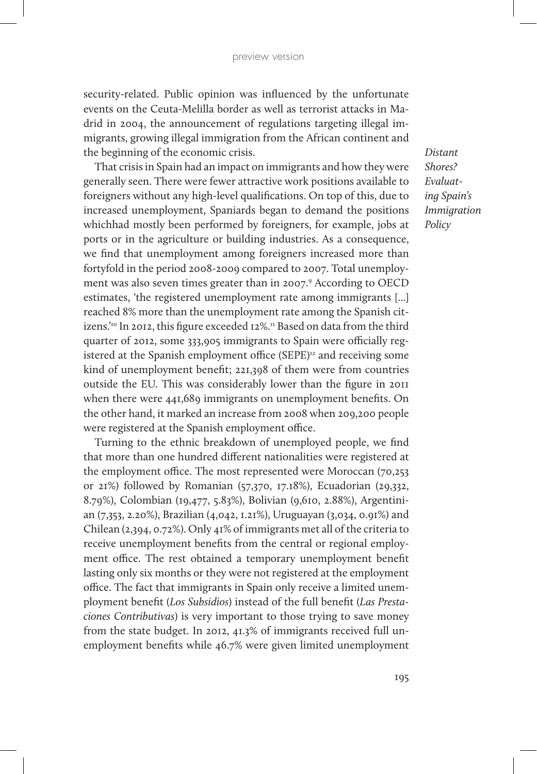security-related. Public opinion was influenced by the unfortunate events on the Ceuta-Melilla border as well as terrorist attacks in Madrid in 2004, the announcement of regulations targeting illegal immigrants, growing illegal immigration from the African continent and the beginning of the economic crisis.

That crisis in Spain had an impact on immigrants and how they were generally seen. There were fewer attractive work positions available to foreigners without any high-level qualifications. On top of this, due to increased unemployment, Spaniards began to demand the positions whichhad mostly been performed by foreigners, for example, jobs at ports or in the agriculture or building industries. As a consequence, we find that unemployment among foreigners increased more than fortyfold in the period 2008-2009 compared to 2007. Total unemployment was also seven times greater than in 2007.<sup>9</sup> According to OECD estimates, 'the registered unemployment rate among immigrants [...] reached 8% more than the unemployment rate among the Spanish citizens.<sup>'10</sup> In 2012, this figure exceeded 12%.<sup>11</sup> Based on data from the third quarter of 2012, some 333,905 immigrants to Spain were officially registered at the Spanish employment office (SEPE)<sup>12</sup> and receiving some kind of unemployment benefit; 221,398 of them were from countries outside the EU. This was considerably lower than the figure in 2011 when there were 441,689 immigrants on unemployment benefits. On the other hand, it marked an increase from 2008 when 209,200 people were registered at the Spanish employment office.

Turning to the ethnic breakdown of unemployed people, we find that more than one hundred different nationalities were registered at the employment office. The most represented were Moroccan (70,253 or 21%) followed by Romanian (57,370, 17.18%), Ecuadorian (29,332, 8.79%), Colombian (19,477, 5.83%), Bolivian (9,610, 2.88%), Argentinian (7,353, 2.20%), Brazilian (4,042, 1.21%), Uruguayan (3,034, 0.91%) and Chilean (2,394, 0.72%). Only 41% of immigrants met all of the criteria to receive unemployment benefits from the central or regional employment office. The rest obtained a temporary unemployment benefit lasting only six months or they were not registered at the employment office. The fact that immigrants in Spain only receive a limited unemployment benefit (*Los Subsidios*) instead of the full benefit (*Las Prestaciones Contributivas*) is very important to those trying to save money from the state budget. In 2012, 41.3% of immigrants received full unemployment benefits while 46.7% were given limited unemployment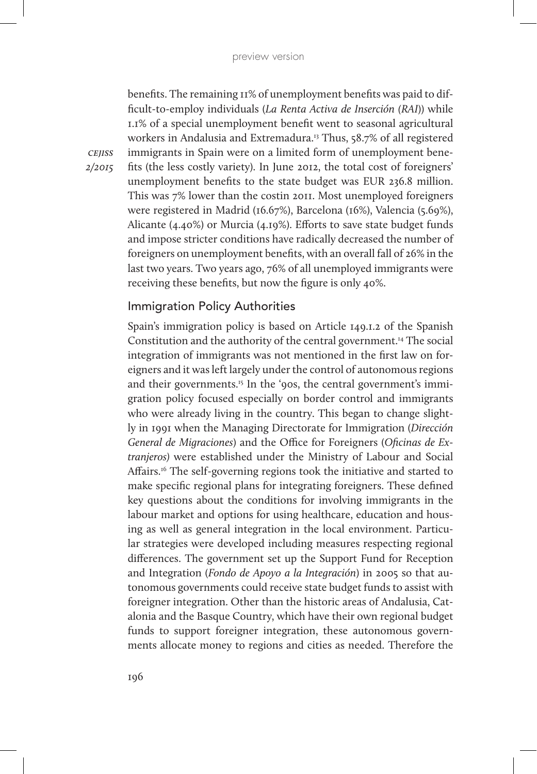benefits. The remaining 11% of unemployment benefits was paid to difficult-to-employ individuals (*La Renta Activa de Inserción (RAI*)) while 1.1% of a special unemployment benefit went to seasonal agricultural workers in Andalusia and Extremadura.13 Thus, 58.7% of all registered immigrants in Spain were on a limited form of unemployment benefits (the less costly variety). In June 2012, the total cost of foreigners' unemployment benefits to the state budget was EUR 236.8 million. This was 7% lower than the costin 2011. Most unemployed foreigners were registered in Madrid (16.67%), Barcelona (16%), Valencia (5.69%), Alicante (4.40%) or Murcia (4.19%). Efforts to save state budget funds and impose stricter conditions have radically decreased the number of foreigners on unemployment benefits, with an overall fall of 26% in the last two years. Two years ago, 76% of all unemployed immigrants were receiving these benefits, but now the figure is only 40%.

## Immigration Policy Authorities

Spain's immigration policy is based on Article 149.1.2 of the Spanish Constitution and the authority of the central government.14 The social integration of immigrants was not mentioned in the first law on foreigners and it was left largely under the control of autonomous regions and their governments.<sup>15</sup> In the '90s, the central government's immigration policy focused especially on border control and immigrants who were already living in the country. This began to change slightly in 1991 when the Managing Directorate for Immigration (*Dirección General de Migraciones*) and the Office for Foreigners (*Oficinas de Extranjeros)* were established under the Ministry of Labour and Social Affairs.<sup>16</sup> The self-governing regions took the initiative and started to make specific regional plans for integrating foreigners. These defined key questions about the conditions for involving immigrants in the labour market and options for using healthcare, education and housing as well as general integration in the local environment. Particular strategies were developed including measures respecting regional differences. The government set up the Support Fund for Reception and Integration (*Fondo de Apoyo a la Integración*) in 2005 so that autonomous governments could receive state budget funds to assist with foreigner integration. Other than the historic areas of Andalusia, Catalonia and the Basque Country, which have their own regional budget funds to support foreigner integration, these autonomous governments allocate money to regions and cities as needed. Therefore the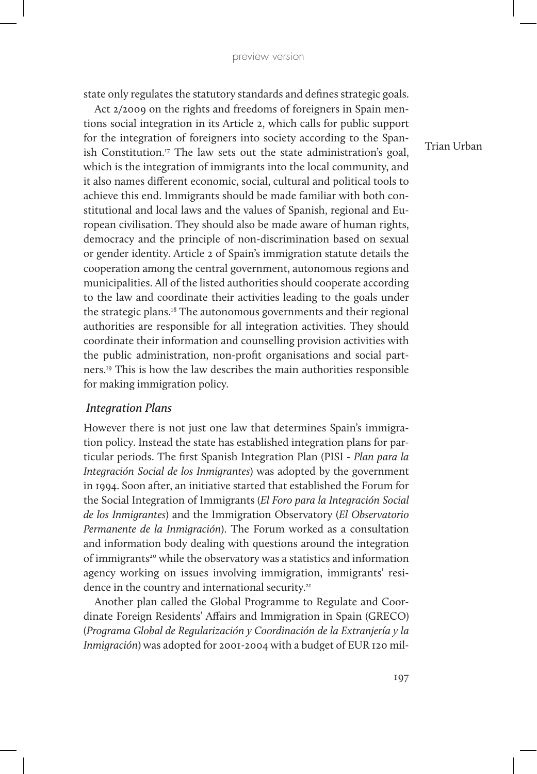state only regulates the statutory standards and defines strategic goals.

Act 2/2009 on the rights and freedoms of foreigners in Spain mentions social integration in its Article 2, which calls for public support for the integration of foreigners into society according to the Spanish Constitution.<sup>17</sup> The law sets out the state administration's goal, which is the integration of immigrants into the local community, and it also names different economic, social, cultural and political tools to achieve this end. Immigrants should be made familiar with both constitutional and local laws and the values of Spanish, regional and European civilisation. They should also be made aware of human rights, democracy and the principle of non-discrimination based on sexual or gender identity. Article 2 of Spain's immigration statute details the cooperation among the central government, autonomous regions and municipalities. All of the listed authorities should cooperate according to the law and coordinate their activities leading to the goals under the strategic plans.18 The autonomous governments and their regional authorities are responsible for all integration activities. They should coordinate their information and counselling provision activities with the public administration, non-profit organisations and social partners.19 This is how the law describes the main authorities responsible for making immigration policy.

#### *Integration Plans*

However there is not just one law that determines Spain's immigration policy. Instead the state has established integration plans for particular periods. The first Spanish Integration Plan (PISI - *Plan para la Integración Social de los Inmigrantes*) was adopted by the government in 1994. Soon after, an initiative started that established the Forum for the Social Integration of Immigrants (*El Foro para la Integración Social de los Inmigrantes*) and the Immigration Observatory (*El Observatorio Permanente de la Inmigración*). The Forum worked as a consultation and information body dealing with questions around the integration of immigrants<sup>20</sup> while the observatory was a statistics and information agency working on issues involving immigration, immigrants' residence in the country and international security.<sup>21</sup>

Another plan called the Global Programme to Regulate and Coordinate Foreign Residents' Affairs and Immigration in Spain (GRECO) (*Programa Global de Regularización y Coordinación de la Extranjería y la Inmigración*) was adopted for 2001-2004 with a budget of EUR 120 mil-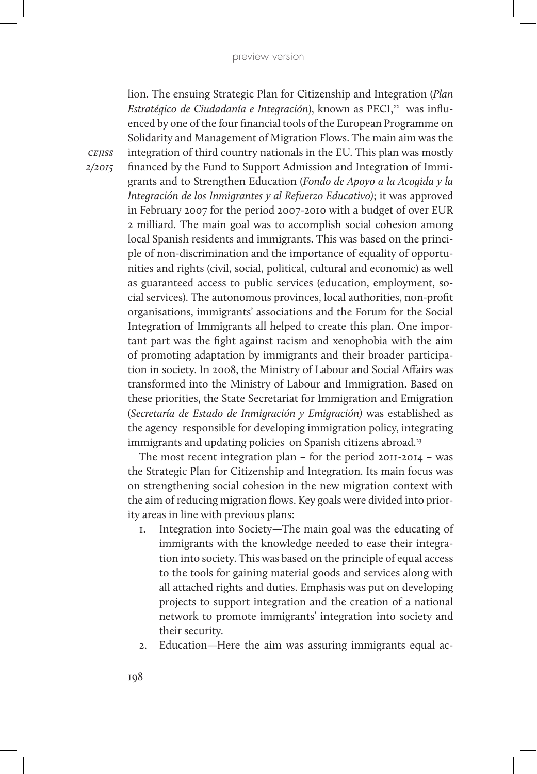lion. The ensuing Strategic Plan for Citizenship and Integration (*Plan Estratégico de Ciudadanía e Integración*), known as PECI,<sup>22</sup> was influenced by one of the four financial tools of the European Programme on Solidarity and Management of Migration Flows. The main aim was the integration of third country nationals in the EU. This plan was mostly financed by the Fund to Support Admission and Integration of Immigrants and to Strengthen Education (*Fondo de Apoyo a la Acogida y la Integración de los Inmigrantes y al Refuerzo Educativo)*; it was approved in February 2007 for the period 2007-2010 with a budget of over EUR 2 milliard. The main goal was to accomplish social cohesion among local Spanish residents and immigrants. This was based on the principle of non-discrimination and the importance of equality of opportunities and rights (civil, social, political, cultural and economic) as well as guaranteed access to public services (education, employment, social services). The autonomous provinces, local authorities, non-profit organisations, immigrants' associations and the Forum for the Social Integration of Immigrants all helped to create this plan. One important part was the fight against racism and xenophobia with the aim of promoting adaptation by immigrants and their broader participation in society. In 2008, the Ministry of Labour and Social Affairs was transformed into the Ministry of Labour and Immigration. Based on these priorities, the State Secretariat for Immigration and Emigration (*Secretaría de Estado de Inmigración y Emigración)* was established as the agency responsible for developing immigration policy, integrating immigrants and updating policies on Spanish citizens abroad.<sup>23</sup>

The most recent integration plan – for the period 2011-2014 – was the Strategic Plan for Citizenship and Integration. Its main focus was on strengthening social cohesion in the new migration context with the aim of reducing migration flows. Key goals were divided into priority areas in line with previous plans:

- 1. Integration into Society—The main goal was the educating of immigrants with the knowledge needed to ease their integration into society. This was based on the principle of equal access to the tools for gaining material goods and services along with all attached rights and duties. Emphasis was put on developing projects to support integration and the creation of a national network to promote immigrants' integration into society and their security.
- 2. Education—Here the aim was assuring immigrants equal ac-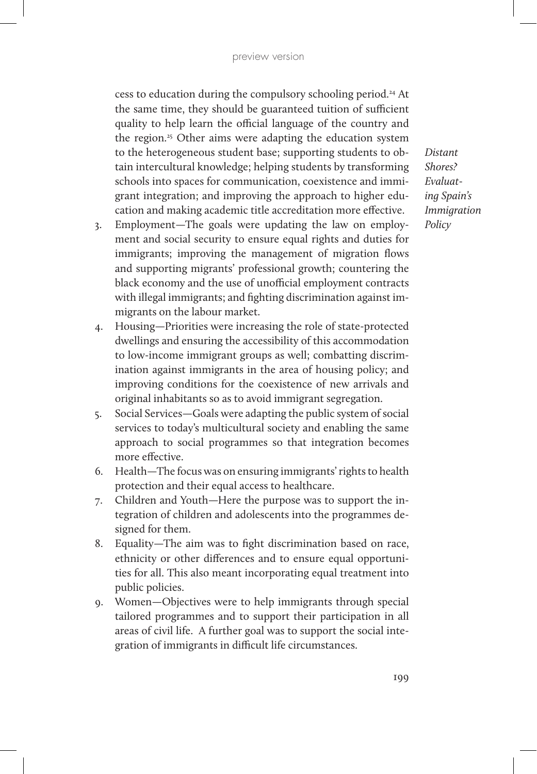cess to education during the compulsory schooling period.24 At the same time, they should be guaranteed tuition of sufficient quality to help learn the official language of the country and the region.<sup>25</sup> Other aims were adapting the education system to the heterogeneous student base; supporting students to obtain intercultural knowledge; helping students by transforming schools into spaces for communication, coexistence and immigrant integration; and improving the approach to higher education and making academic title accreditation more effective.

- 3. Employment—The goals were updating the law on employment and social security to ensure equal rights and duties for immigrants; improving the management of migration flows and supporting migrants' professional growth; countering the black economy and the use of unofficial employment contracts with illegal immigrants; and fighting discrimination against immigrants on the labour market.
- 4. Housing—Priorities were increasing the role of state-protected dwellings and ensuring the accessibility of this accommodation to low-income immigrant groups as well; combatting discrimination against immigrants in the area of housing policy; and improving conditions for the coexistence of new arrivals and original inhabitants so as to avoid immigrant segregation.
- 5. Social Services—Goals were adapting the public system of social services to today's multicultural society and enabling the same approach to social programmes so that integration becomes more effective.
- 6. Health—The focus was on ensuring immigrants' rights to health protection and their equal access to healthcare.
- 7. Children and Youth—Here the purpose was to support the integration of children and adolescents into the programmes designed for them.
- 8. Equality—The aim was to fight discrimination based on race, ethnicity or other differences and to ensure equal opportunities for all. This also meant incorporating equal treatment into public policies.
- 9. Women—Objectives were to help immigrants through special tailored programmes and to support their participation in all areas of civil life. A further goal was to support the social integration of immigrants in difficult life circumstances.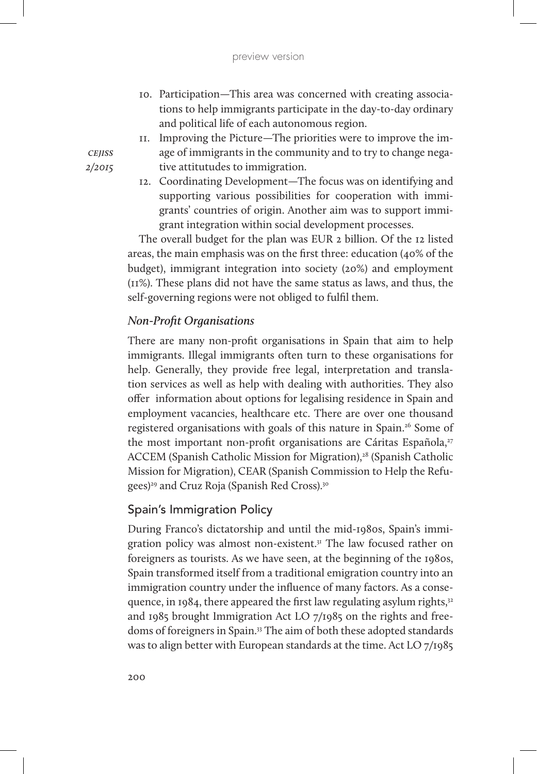- 10. Participation—This area was concerned with creating associations to help immigrants participate in the day-to-day ordinary and political life of each autonomous region.
- 11. Improving the Picture—The priorities were to improve the image of immigrants in the community and to try to change negative attitutudes to immigration.
- 12. Coordinating Development—The focus was on identifying and supporting various possibilities for cooperation with immigrants' countries of origin. Another aim was to support immigrant integration within social development processes.

The overall budget for the plan was EUR 2 billion. Of the 12 listed areas, the main emphasis was on the first three: education (40% of the budget), immigrant integration into society (20%) and employment (11%). These plans did not have the same status as laws, and thus, the self-governing regions were not obliged to fulfil them.

## *Non-Profit Organisations*

There are many non-profit organisations in Spain that aim to help immigrants. Illegal immigrants often turn to these organisations for help. Generally, they provide free legal, interpretation and translation services as well as help with dealing with authorities. They also offer information about options for legalising residence in Spain and employment vacancies, healthcare etc. There are over one thousand registered organisations with goals of this nature in Spain.<sup>26</sup> Some of the most important non-profit organisations are Cáritas Española, $27$ ACCEM (Spanish Catholic Mission for Migration),<sup>28</sup> (Spanish Catholic Mission for Migration), CEAR (Spanish Commission to Help the Refugees)<sup>29</sup> and Cruz Roja (Spanish Red Cross).<sup>30</sup>

### Spain's Immigration Policy

During Franco's dictatorship and until the mid-1980s, Spain's immigration policy was almost non-existent.<sup>31</sup> The law focused rather on foreigners as tourists. As we have seen, at the beginning of the 1980s, Spain transformed itself from a traditional emigration country into an immigration country under the influence of many factors. As a consequence, in 1984, there appeared the first law regulating asylum rights, $32$ and 1985 brought Immigration Act LO 7/1985 on the rights and freedoms of foreigners in Spain.33 The aim of both these adopted standards was to align better with European standards at the time. Act LO 7/1985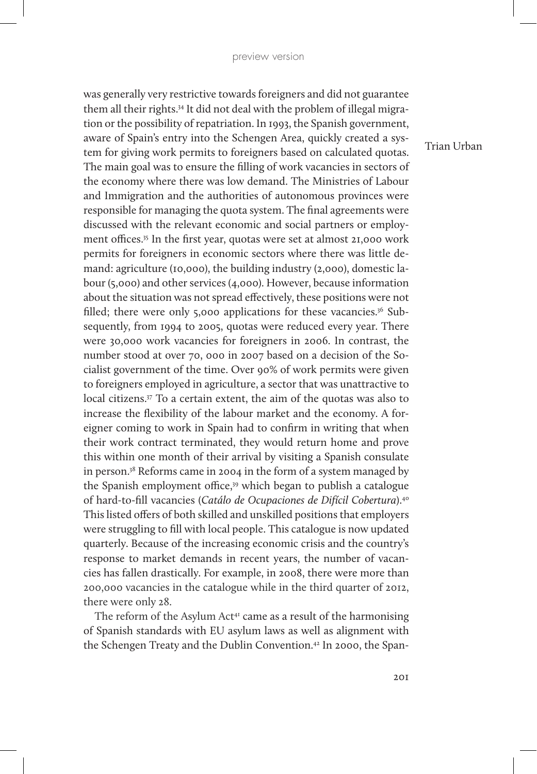was generally very restrictive towards foreigners and did not guarantee them all their rights.34 It did not deal with the problem of illegal migration or the possibility of repatriation. In 1993, the Spanish government, aware of Spain's entry into the Schengen Area, quickly created a system for giving work permits to foreigners based on calculated quotas. The main goal was to ensure the filling of work vacancies in sectors of the economy where there was low demand. The Ministries of Labour and Immigration and the authorities of autonomous provinces were responsible for managing the quota system. The final agreements were discussed with the relevant economic and social partners or employment offices.35 In the first year, quotas were set at almost 21,000 work permits for foreigners in economic sectors where there was little demand: agriculture (10,000), the building industry (2,000), domestic labour (5,000) and other services (4,000). However, because information about the situation was not spread effectively, these positions were not filled; there were only 5,000 applications for these vacancies.<sup>36</sup> Subsequently, from 1994 to 2005, quotas were reduced every year. There were 30,000 work vacancies for foreigners in 2006. In contrast, the number stood at over 70, 000 in 2007 based on a decision of the Socialist government of the time. Over 90% of work permits were given to foreigners employed in agriculture, a sector that was unattractive to local citizens.37 To a certain extent, the aim of the quotas was also to increase the flexibility of the labour market and the economy. A foreigner coming to work in Spain had to confirm in writing that when their work contract terminated, they would return home and prove this within one month of their arrival by visiting a Spanish consulate in person.38 Reforms came in 2004 in the form of a system managed by the Spanish employment office,<sup>39</sup> which began to publish a catalogue of hard-to-fill vacancies (*Catálo de Ocupaciones de Difícil Cobertura*).40 This listed offers of both skilled and unskilled positions that employers were struggling to fill with local people. This catalogue is now updated quarterly. Because of the increasing economic crisis and the country's response to market demands in recent years, the number of vacancies has fallen drastically. For example, in 2008, there were more than 200,000 vacancies in the catalogue while in the third quarter of 2012, there were only 28.

The reform of the Asylum Act<sup> $41$ </sup> came as a result of the harmonising of Spanish standards with EU asylum laws as well as alignment with the Schengen Treaty and the Dublin Convention.<sup>42</sup> In 2000, the Span-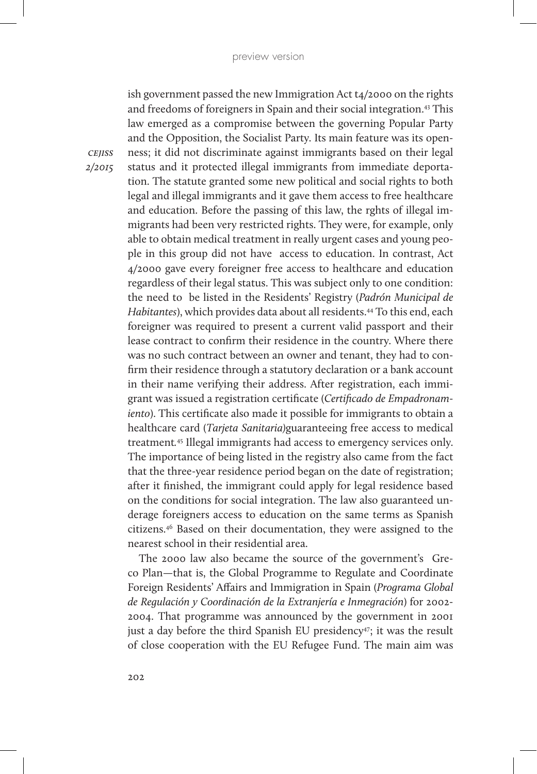ish government passed the new Immigration Act t4/2000 on the rights and freedoms of foreigners in Spain and their social integration.43 This law emerged as a compromise between the governing Popular Party and the Opposition, the Socialist Party. Its main feature was its openness; it did not discriminate against immigrants based on their legal status and it protected illegal immigrants from immediate deportation. The statute granted some new political and social rights to both legal and illegal immigrants and it gave them access to free healthcare and education. Before the passing of this law, the rghts of illegal immigrants had been very restricted rights. They were, for example, only able to obtain medical treatment in really urgent cases and young people in this group did not have access to education. In contrast, Act 4/2000 gave every foreigner free access to healthcare and education regardless of their legal status. This was subject only to one condition: the need to be listed in the Residents' Registry (*Padrón Municipal de Habitantes*), which provides data about all residents.44 To this end, each foreigner was required to present a current valid passport and their lease contract to confirm their residence in the country. Where there was no such contract between an owner and tenant, they had to confirm their residence through a statutory declaration or a bank account in their name verifying their address. After registration, each immigrant was issued a registration certificate (*Certificado de Empadronamiento*). This certificate also made it possible for immigrants to obtain a healthcare card (*Tarjeta Sanitaria)*guaranteeing free access to medical treatment*.* <sup>45</sup> Illegal immigrants had access to emergency services only. The importance of being listed in the registry also came from the fact that the three-year residence period began on the date of registration; after it finished, the immigrant could apply for legal residence based on the conditions for social integration. The law also guaranteed underage foreigners access to education on the same terms as Spanish citizens.46 Based on their documentation, they were assigned to the nearest school in their residential area.

The 2000 law also became the source of the government's Greco Plan—that is, the Global Programme to Regulate and Coordinate Foreign Residents' Affairs and Immigration in Spain (*Programa Global de Regulación y Coordinación de la Extranjería e Inmegración*) for 2002- 2004. That programme was announced by the government in 2001 just a day before the third Spanish EU presidency<sup>47</sup>; it was the result of close cooperation with the EU Refugee Fund. The main aim was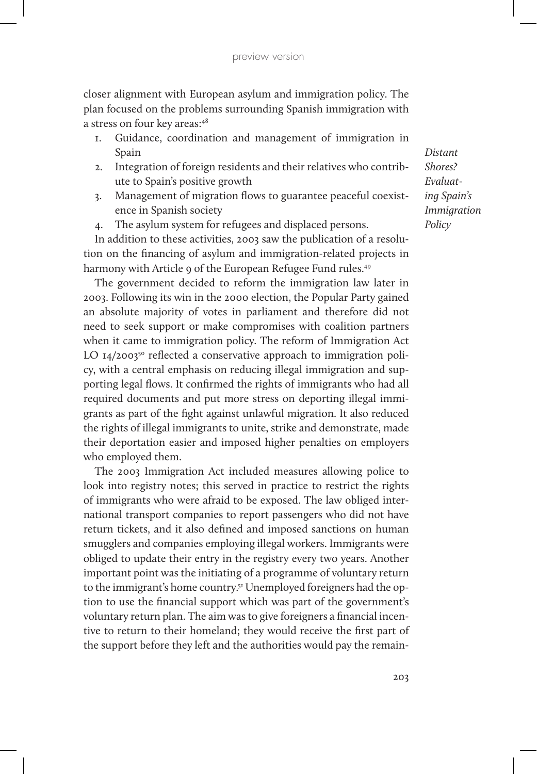closer alignment with European asylum and immigration policy. The plan focused on the problems surrounding Spanish immigration with a stress on four key areas:48

- 1. Guidance, coordination and management of immigration in Spain
- 2. Integration of foreign residents and their relatives who contribute to Spain's positive growth
- 3. Management of migration flows to guarantee peaceful coexistence in Spanish society
- 4. The asylum system for refugees and displaced persons.

In addition to these activities, 2003 saw the publication of a resolution on the financing of asylum and immigration-related projects in harmony with Article 9 of the European Refugee Fund rules.<sup>49</sup>

The government decided to reform the immigration law later in 2003. Following its win in the 2000 election, the Popular Party gained an absolute majority of votes in parliament and therefore did not need to seek support or make compromises with coalition partners when it came to immigration policy. The reform of Immigration Act LO  $14/200350$  reflected a conservative approach to immigration policy, with a central emphasis on reducing illegal immigration and supporting legal flows. It confirmed the rights of immigrants who had all required documents and put more stress on deporting illegal immigrants as part of the fight against unlawful migration. It also reduced the rights of illegal immigrants to unite, strike and demonstrate, made their deportation easier and imposed higher penalties on employers who employed them.

The 2003 Immigration Act included measures allowing police to look into registry notes; this served in practice to restrict the rights of immigrants who were afraid to be exposed. The law obliged international transport companies to report passengers who did not have return tickets, and it also defined and imposed sanctions on human smugglers and companies employing illegal workers. Immigrants were obliged to update their entry in the registry every two years. Another important point was the initiating of a programme of voluntary return to the immigrant's home country.<sup>51</sup> Unemployed foreigners had the option to use the financial support which was part of the government's voluntary return plan. The aim was to give foreigners a financial incentive to return to their homeland; they would receive the first part of the support before they left and the authorities would pay the remain-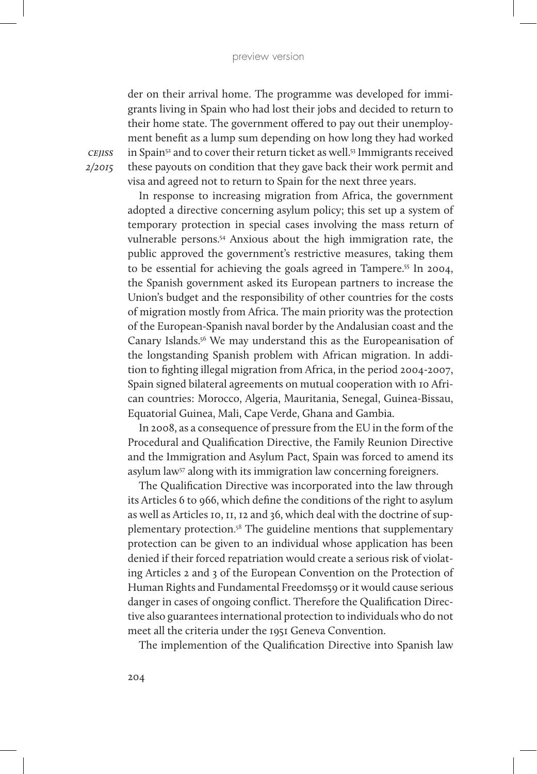der on their arrival home. The programme was developed for immigrants living in Spain who had lost their jobs and decided to return to their home state. The government offered to pay out their unemployment benefit as a lump sum depending on how long they had worked in Spain<sup>52</sup> and to cover their return ticket as well.<sup>53</sup> Immigrants received these payouts on condition that they gave back their work permit and visa and agreed not to return to Spain for the next three years.

*cejiss 2/2015*

> In response to increasing migration from Africa, the government adopted a directive concerning asylum policy; this set up a system of temporary protection in special cases involving the mass return of vulnerable persons.54 Anxious about the high immigration rate, the public approved the government's restrictive measures, taking them to be essential for achieving the goals agreed in Tampere.55 In 2004, the Spanish government asked its European partners to increase the Union's budget and the responsibility of other countries for the costs of migration mostly from Africa. The main priority was the protection of the European-Spanish naval border by the Andalusian coast and the Canary Islands.56 We may understand this as the Europeanisation of the longstanding Spanish problem with African migration. In addition to fighting illegal migration from Africa, in the period 2004-2007, Spain signed bilateral agreements on mutual cooperation with 10 African countries: Morocco, Algeria, Mauritania, Senegal, Guinea-Bissau, Equatorial Guinea, Mali, Cape Verde, Ghana and Gambia.

> In 2008, as a consequence of pressure from the EU in the form of the Procedural and Qualification Directive, the Family Reunion Directive and the Immigration and Asylum Pact, Spain was forced to amend its asylum law<sup>57</sup> along with its immigration law concerning foreigners.

> The Qualification Directive was incorporated into the law through its Articles 6 to 966, which define the conditions of the right to asylum as well as Articles 10, 11, 12 and 36, which deal with the doctrine of supplementary protection. <sup>58</sup> The guideline mentions that supplementary protection can be given to an individual whose application has been denied if their forced repatriation would create a serious risk of violating Articles 2 and 3 of the European Convention on the Protection of Human Rights and Fundamental Freedoms59 or it would cause serious danger in cases of ongoing conflict. Therefore the Qualification Directive also guarantees international protection to individuals who do not meet all the criteria under the 1951 Geneva Convention.

The implemention of the Qualification Directive into Spanish law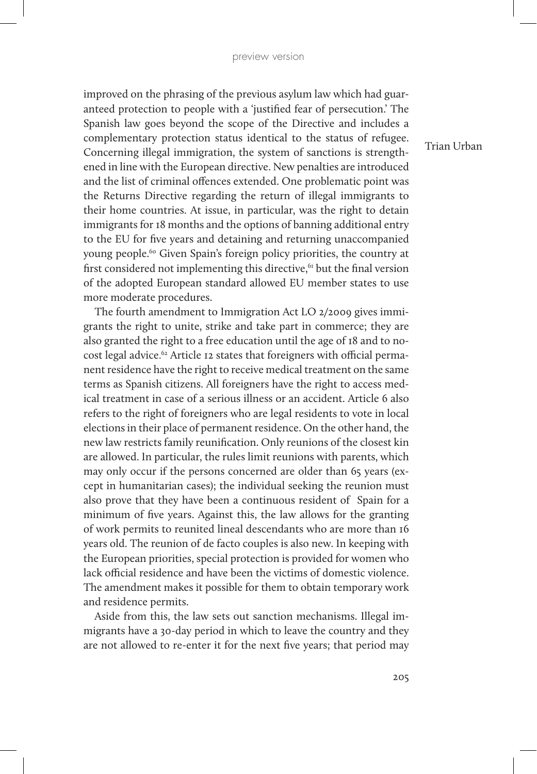improved on the phrasing of the previous asylum law which had guaranteed protection to people with a 'justified fear of persecution.' The Spanish law goes beyond the scope of the Directive and includes a complementary protection status identical to the status of refugee. Concerning illegal immigration, the system of sanctions is strengthened in line with the European directive. New penalties are introduced and the list of criminal offences extended. One problematic point was the Returns Directive regarding the return of illegal immigrants to their home countries. At issue, in particular, was the right to detain immigrants for 18 months and the options of banning additional entry to the EU for five years and detaining and returning unaccompanied young people.60 Given Spain's foreign policy priorities, the country at first considered not implementing this directive,<sup>61</sup> but the final version of the adopted European standard allowed EU member states to use more moderate procedures.

The fourth amendment to Immigration Act LO 2/2009 gives immigrants the right to unite, strike and take part in commerce; they are also granted the right to a free education until the age of 18 and to nocost legal advice. <sup>62</sup> Article 12 states that foreigners with official permanent residence have the right to receive medical treatment on the same terms as Spanish citizens. All foreigners have the right to access medical treatment in case of a serious illness or an accident. Article 6 also refers to the right of foreigners who are legal residents to vote in local elections in their place of permanent residence. On the other hand, the new law restricts family reunification. Only reunions of the closest kin are allowed. In particular, the rules limit reunions with parents, which may only occur if the persons concerned are older than 65 years (except in humanitarian cases); the individual seeking the reunion must also prove that they have been a continuous resident of Spain for a minimum of five years. Against this, the law allows for the granting of work permits to reunited lineal descendants who are more than 16 years old. The reunion of de facto couples is also new. In keeping with the European priorities, special protection is provided for women who lack official residence and have been the victims of domestic violence. The amendment makes it possible for them to obtain temporary work and residence permits.

Aside from this, the law sets out sanction mechanisms. Illegal immigrants have a 30-day period in which to leave the country and they are not allowed to re-enter it for the next five years; that period may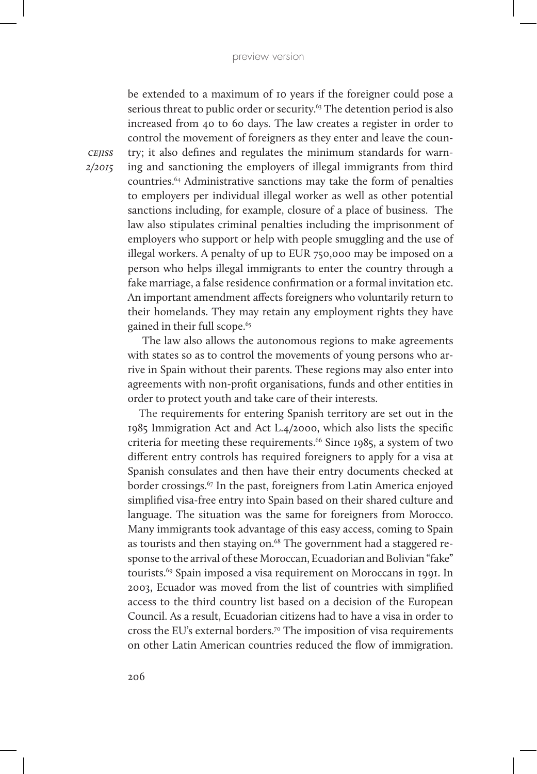be extended to a maximum of 10 years if the foreigner could pose a serious threat to public order or security.<sup>63</sup> The detention period is also increased from 40 to 60 days. The law creates a register in order to control the movement of foreigners as they enter and leave the country; it also defines and regulates the minimum standards for warning and sanctioning the employers of illegal immigrants from third countries.64 Administrative sanctions may take the form of penalties to employers per individual illegal worker as well as other potential sanctions including, for example, closure of a place of business. The law also stipulates criminal penalties including the imprisonment of employers who support or help with people smuggling and the use of illegal workers. A penalty of up to EUR 750,000 may be imposed on a person who helps illegal immigrants to enter the country through a fake marriage, a false residence confirmation or a formal invitation etc. An important amendment affects foreigners who voluntarily return to their homelands. They may retain any employment rights they have gained in their full scope.<sup>65</sup>

 The law also allows the autonomous regions to make agreements with states so as to control the movements of young persons who arrive in Spain without their parents. These regions may also enter into agreements with non-profit organisations, funds and other entities in order to protect youth and take care of their interests.

The requirements for entering Spanish territory are set out in the 1985 Immigration Act and Act L.4/2000, which also lists the specific criteria for meeting these requirements.<sup>66</sup> Since 1985, a system of two different entry controls has required foreigners to apply for a visa at Spanish consulates and then have their entry documents checked at border crossings.<sup>67</sup> In the past, foreigners from Latin America enjoyed simplified visa-free entry into Spain based on their shared culture and language. The situation was the same for foreigners from Morocco. Many immigrants took advantage of this easy access, coming to Spain as tourists and then staying on.<sup>68</sup> The government had a staggered response to the arrival of these Moroccan, Ecuadorian and Bolivian "fake" tourists.69 Spain imposed a visa requirement on Moroccans in 1991. In 2003, Ecuador was moved from the list of countries with simplified access to the third country list based on a decision of the European Council. As a result, Ecuadorian citizens had to have a visa in order to cross the EU's external borders.70 The imposition of visa requirements on other Latin American countries reduced the flow of immigration.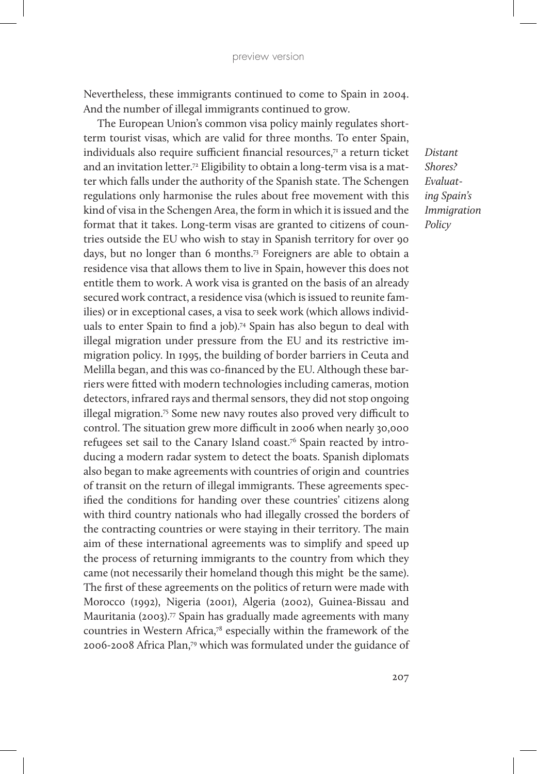Nevertheless, these immigrants continued to come to Spain in 2004. And the number of illegal immigrants continued to grow.

 The European Union's common visa policy mainly regulates shortterm tourist visas, which are valid for three months. To enter Spain, individuals also require sufficient financial resources,<sup>71</sup> a return ticket and an invitation letter.<sup>72</sup> Eligibility to obtain a long-term visa is a matter which falls under the authority of the Spanish state. The Schengen regulations only harmonise the rules about free movement with this kind of visa in the Schengen Area, the form in which it is issued and the format that it takes. Long-term visas are granted to citizens of countries outside the EU who wish to stay in Spanish territory for over 90 days, but no longer than 6 months.73 Foreigners are able to obtain a residence visa that allows them to live in Spain, however this does not entitle them to work. A work visa is granted on the basis of an already secured work contract, a residence visa (which is issued to reunite families) or in exceptional cases, a visa to seek work (which allows individuals to enter Spain to find a job).74 Spain has also begun to deal with illegal migration under pressure from the EU and its restrictive immigration policy. In 1995, the building of border barriers in Ceuta and Melilla began, and this was co-financed by the EU. Although these barriers were fitted with modern technologies including cameras, motion detectors, infrared rays and thermal sensors, they did not stop ongoing illegal migration.75 Some new navy routes also proved very difficult to control. The situation grew more difficult in 2006 when nearly 30,000 refugees set sail to the Canary Island coast.76 Spain reacted by introducing a modern radar system to detect the boats. Spanish diplomats also began to make agreements with countries of origin and countries of transit on the return of illegal immigrants. These agreements specified the conditions for handing over these countries' citizens along with third country nationals who had illegally crossed the borders of the contracting countries or were staying in their territory. The main aim of these international agreements was to simplify and speed up the process of returning immigrants to the country from which they came (not necessarily their homeland though this might be the same). The first of these agreements on the politics of return were made with Morocco (1992), Nigeria (2001), Algeria (2002), Guinea-Bissau and Mauritania (2003).<sup>77</sup> Spain has gradually made agreements with many countries in Western Africa,78 especially within the framework of the 2006-2008 Africa Plan,79 which was formulated under the guidance of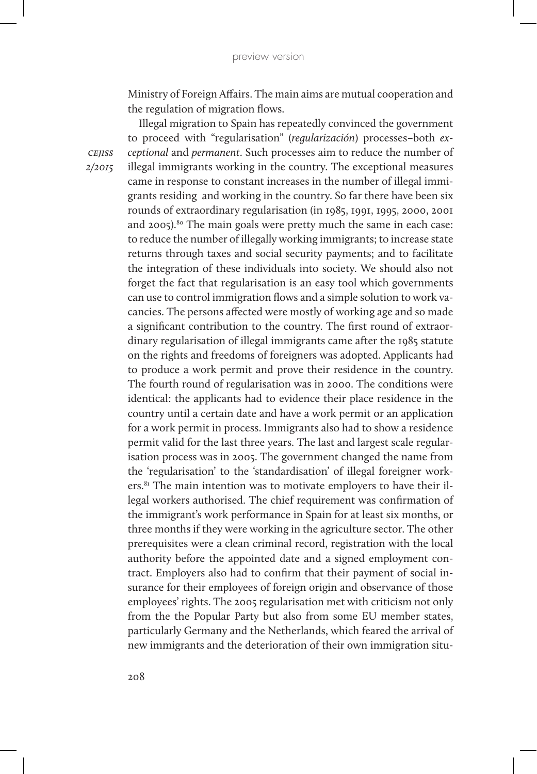Ministry of Foreign Affairs. The main aims are mutual cooperation and the regulation of migration flows.

Illegal migration to Spain has repeatedly convinced the government to proceed with "regularisation" (*regularización*) processes–both *exceptional* and *permanent*. Such processes aim to reduce the number of illegal immigrants working in the country. The exceptional measures came in response to constant increases in the number of illegal immigrants residing and working in the country. So far there have been six rounds of extraordinary regularisation (in 1985, 1991, 1995, 2000, 2001 and 2005).<sup>80</sup> The main goals were pretty much the same in each case: to reduce the number of illegally working immigrants; to increase state returns through taxes and social security payments; and to facilitate the integration of these individuals into society. We should also not forget the fact that regularisation is an easy tool which governments can use to control immigration flows and a simple solution to work vacancies. The persons affected were mostly of working age and so made a significant contribution to the country. The first round of extraordinary regularisation of illegal immigrants came after the 1985 statute on the rights and freedoms of foreigners was adopted. Applicants had to produce a work permit and prove their residence in the country. The fourth round of regularisation was in 2000. The conditions were identical: the applicants had to evidence their place residence in the country until a certain date and have a work permit or an application for a work permit in process. Immigrants also had to show a residence permit valid for the last three years. The last and largest scale regularisation process was in 2005. The government changed the name from the 'regularisation' to the 'standardisation' of illegal foreigner workers.<sup>81</sup> The main intention was to motivate employers to have their illegal workers authorised. The chief requirement was confirmation of the immigrant's work performance in Spain for at least six months, or three months if they were working in the agriculture sector. The other prerequisites were a clean criminal record, registration with the local authority before the appointed date and a signed employment contract. Employers also had to confirm that their payment of social insurance for their employees of foreign origin and observance of those employees' rights. The 2005 regularisation met with criticism not only from the the Popular Party but also from some EU member states, particularly Germany and the Netherlands, which feared the arrival of new immigrants and the deterioration of their own immigration situ-

*cejiss 2/2015*

208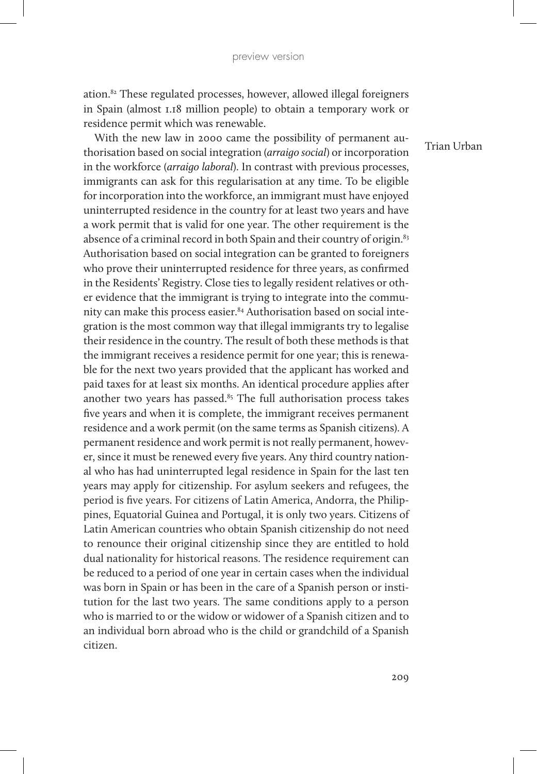ation.82 These regulated processes, however, allowed illegal foreigners in Spain (almost 1.18 million people) to obtain a temporary work or residence permit which was renewable.

With the new law in 2000 came the possibility of permanent authorisation based on social integration (*arraigo social*) or incorporation in the workforce (*arraigo laboral*). In contrast with previous processes, immigrants can ask for this regularisation at any time. To be eligible for incorporation into the workforce, an immigrant must have enjoyed uninterrupted residence in the country for at least two years and have a work permit that is valid for one year. The other requirement is the absence of a criminal record in both Spain and their country of origin.<sup>83</sup> Authorisation based on social integration can be granted to foreigners who prove their uninterrupted residence for three years, as confirmed in the Residents' Registry. Close ties to legally resident relatives or other evidence that the immigrant is trying to integrate into the community can make this process easier.<sup>84</sup> Authorisation based on social integration is the most common way that illegal immigrants try to legalise their residence in the country. The result of both these methods is that the immigrant receives a residence permit for one year; this is renewable for the next two years provided that the applicant has worked and paid taxes for at least six months. An identical procedure applies after another two years has passed. $85$  The full authorisation process takes five years and when it is complete, the immigrant receives permanent residence and a work permit (on the same terms as Spanish citizens). A permanent residence and work permit is not really permanent, however, since it must be renewed every five years. Any third country national who has had uninterrupted legal residence in Spain for the last ten years may apply for citizenship. For asylum seekers and refugees, the period is five years. For citizens of Latin America, Andorra, the Philippines, Equatorial Guinea and Portugal, it is only two years. Citizens of Latin American countries who obtain Spanish citizenship do not need to renounce their original citizenship since they are entitled to hold dual nationality for historical reasons. The residence requirement can be reduced to a period of one year in certain cases when the individual was born in Spain or has been in the care of a Spanish person or institution for the last two years. The same conditions apply to a person who is married to or the widow or widower of a Spanish citizen and to an individual born abroad who is the child or grandchild of a Spanish citizen.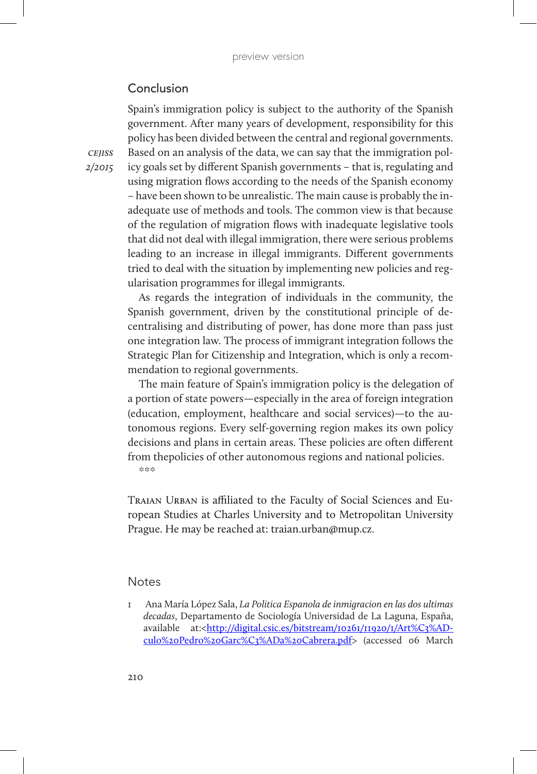## Conclusion

Spain's immigration policy is subject to the authority of the Spanish government. After many years of development, responsibility for this policy has been divided between the central and regional governments. Based on an analysis of the data, we can say that the immigration policy goals set by different Spanish governments – that is, regulating and using migration flows according to the needs of the Spanish economy – have been shown to be unrealistic. The main cause is probably the inadequate use of methods and tools. The common view is that because of the regulation of migration flows with inadequate legislative tools that did not deal with illegal immigration, there were serious problems leading to an increase in illegal immigrants. Different governments tried to deal with the situation by implementing new policies and regularisation programmes for illegal immigrants.

As regards the integration of individuals in the community, the Spanish government, driven by the constitutional principle of decentralising and distributing of power, has done more than pass just one integration law. The process of immigrant integration follows the Strategic Plan for Citizenship and Integration, which is only a recommendation to regional governments.

The main feature of Spain's immigration policy is the delegation of a portion of state powers—especially in the area of foreign integration (education, employment, healthcare and social services)—to the autonomous regions. Every self-governing region makes its own policy decisions and plans in certain areas. These policies are often different from thepolicies of other autonomous regions and national policies.  $%$   $%$ 

TRAIAN URBAN is affiliated to the Faculty of Social Sciences and European Studies at Charles University and to Metropolitan University Prague. He may be reached at: traian.urban@mup.cz.

#### **Notes**

1 Ana María López Sala, *La Politica Espanola de inmigracion en las dos ultimas decadas*, Departamento de Sociología Universidad de La Laguna, España, available at:*<*http://digital.csic.es/bitstream/10261/11920/1/Art%C3%ADculo%20Pedro%20Garc%C3%ADa%20Cabrera.pdf> (accessed 06 March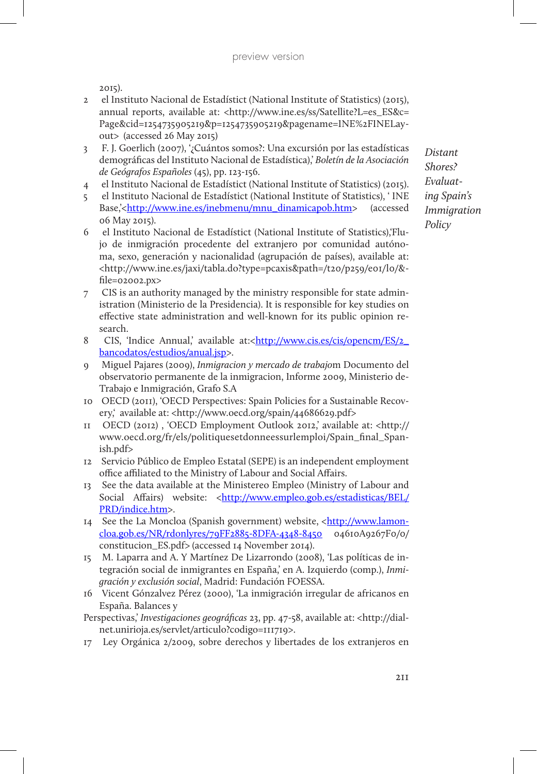2015).

- 2 el Instituto Nacional de Estadístict (National Institute of Statistics) (2015), annual reports, available at: <http://www.ine.es/ss/Satellite?L=es\_ES&c= Page&cid=1254735905219&p=1254735905219&pagename=INE%2FINELayout> (accessed 26 May 2015)
- 3 F. J. Goerlich (2007), '¿Cuántos somos?: Una excursión por las estadísticas demográficas del Instituto Nacional de Estadística),' *Boletín de la Asociación de Geógrafos Españoles* (45), pp. 123-156.
- 4 el Instituto Nacional de Estadístict (National Institute of Statistics) (2015).
- 5 el Instituto Nacional de Estadístict (National Institute of Statistics), ' INE Base,'<http://www.ine.es/inebmenu/mnu\_dinamicapob.htm> (accessed 06 May 2015).
- 6 el Instituto Nacional de Estadístict (National Institute of Statistics),'Flujo de inmigración procedente del extranjero por comunidad autónoma, sexo, generación y nacionalidad (agrupación de países), available at: <http://www.ine.es/jaxi/tabla.do?type=pcaxis&path=/t20/p259/e01/l0/& file=02002.px>
- 7 CIS is an authority managed by the ministry responsible for state administration (Ministerio de la Presidencia). It is responsible for key studies on effective state administration and well-known for its public opinion research.
- 8 CIS, 'Indice Annual,' available at:<http://www.cis.es/cis/opencm/ES/2 bancodatos/estudios/anual.jsp>.
- 9 Miguel Pajares (2009), *Inmigracion y mercado de trabajo*m Documento del observatorio permanente de la inmigracion, Informe 2009, Ministerio de-Trabajo e Inmigración, Grafo S.A
- 10 OECD (2011), 'OECD Perspectives: Spain Policies for a Sustainable Recovery,' available at: <http://www.oecd.org/spain/44686629.pdf>
- 11 OECD (2012) , 'OECD Employment Outlook 2012,' available at: <http:// www.oecd.org/fr/els/politiquesetdonneessurlemploi/Spain\_final\_Spanish.pdf>
- 12 Servicio Público de Empleo Estatal (SEPE) is an independent employment office affiliated to the Ministry of Labour and Social Affairs.
- 13 See the data available at the Ministereo Empleo (Ministry of Labour and Social Affairs) website: <http://www.empleo.gob.es/estadisticas/BEL/ PRD/indice.htm>.
- 14 See the La Moncloa (Spanish government) website, <http://www.lamoncloa.gob.es/NR/rdonlyres/79FF2885-8DFA-4348-8450 04610A9267F0/0/ constitucion\_ES.pdf> (accessed 14 November 2014).
- 15 M. Laparra and A. Y Martínez De Lizarrondo (2008), 'Las políticas de integración social de inmigrantes en España,' en A. Izquierdo (comp.), *Inmigración y exclusión social*, Madrid: Fundación FOESSA.
- 16 Vicent Gónzalvez Pérez (2000), 'La inmigración irregular de africanos en España. Balances y
- Perspectivas,' *Investigaciones geográficas* 23, pp. 47-58, available at: <http://dialnet.unirioja.es/servlet/articulo?codigo=111719>.
- 17 Ley Orgánica 2/2009, sobre derechos y libertades de los extranjeros en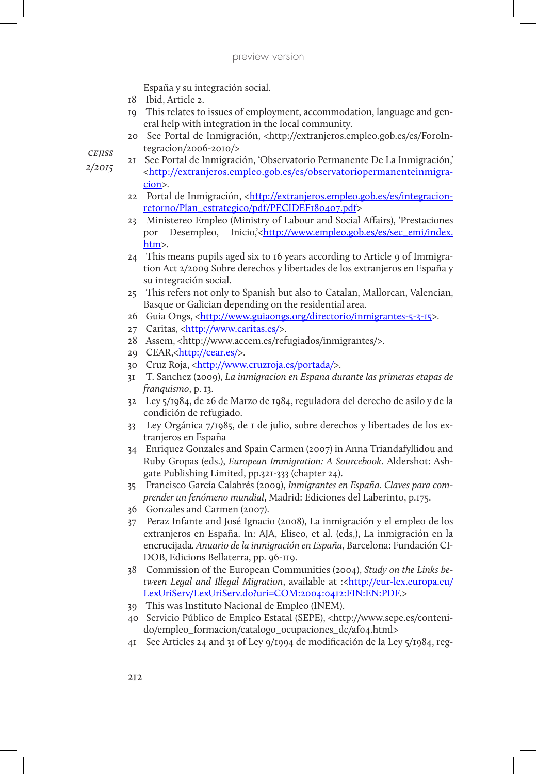España y su integración social.

- 18 Ibid, Article 2.
- 19 This relates to issues of employment, accommodation, language and general help with integration in the local community.
- 20 See Portal de Inmigración, <http://extranjeros.empleo.gob.es/es/ForoIntegracion/2006-2010/>

*cejiss*

- *2/2015*
- 21 See Portal de Inmigración, 'Observatorio Permanente De La Inmigración,' <http://extranjeros.empleo.gob.es/es/observatoriopermanenteinmigracion>.
- 22 Portal de Inmigración, <http://extranjeros.empleo.gob.es/es/integracionretorno/Plan\_estrategico/pdf/PECIDEF180407.pdf>
- 23 Ministereo Empleo (Ministry of Labour and Social Affairs), 'Prestaciones por Desempleo, Inicio,'<http://www.empleo.gob.es/es/sec\_emi/index. htm>.
- 24 This means pupils aged six to 16 years according to Article 9 of Immigration Act 2/2009 Sobre derechos y libertades de los extranjeros en España y su integración social.
- 25 This refers not only to Spanish but also to Catalan, Mallorcan, Valencian, Basque or Galician depending on the residential area.
- 26 Guia Ongs, <http://www.guiaongs.org/directorio/inmigrantes-5-3-15>.
- 27 Caritas, <http://www.caritas.es/>.
- 28 Assem, <http://www.accem.es/refugiados/inmigrantes/>.
- 29 CEAR,<http://cear.es/>.
- 30 Cruz Roja, *<*http://www.cruzroja.es/portada/>.
- 31 T. Sanchez (2009), *La inmigracion en Espana durante las primeras etapas de franquismo*, p. 13.
- 32 Ley 5/1984, de 26 de Marzo de 1984, reguladora del derecho de asilo y de la condición de refugiado.
- 33 Ley Orgánica 7/1985, de 1 de julio, sobre derechos y libertades de los extranjeros en España
- 34 Enriquez Gonzales and Spain Carmen (2007) in Anna Triandafyllidou and Ruby Gropas (eds.), *European Immigration: A Sourcebook*. Aldershot: Ashgate Publishing Limited, pp.321-333 (chapter 24).
- 35 Francisco García Calabrés (2009), *Inmigrantes en España. Claves para comprender un fenómeno mundial*, Madrid: Ediciones del Laberinto, p.175.
- 36 Gonzales and Carmen (2007).
- 37 Peraz Infante and José Ignacio (2008), La inmigración y el empleo de los extranjeros en España. In: AJA, Eliseo, et al. (eds,), La inmigración en la encrucijada*. Anuario de la inmigración en España*, Barcelona: Fundación CI-DOB, Edicions Bellaterra, pp. 96-119.
- 38 Commission of the European Communities (2004), *Study on the Links between Legal and Illegal Migration, available at :<http://eur-lex.europa.eu/* LexUriServ/LexUriServ.do?uri=COM:2004:0412:FIN:EN:PDF.>
- 39 This was Instituto Nacional de Empleo (INEM).
- 40 Servicio Público de Empleo Estatal (SEPE), <http://www.sepe.es/contenido/empleo\_formacion/catalogo\_ocupaciones\_dc/af04.html>
- 41 See Articles 24 and 31 of Ley 9/1994 de modificación de la Ley 5/1984, reg-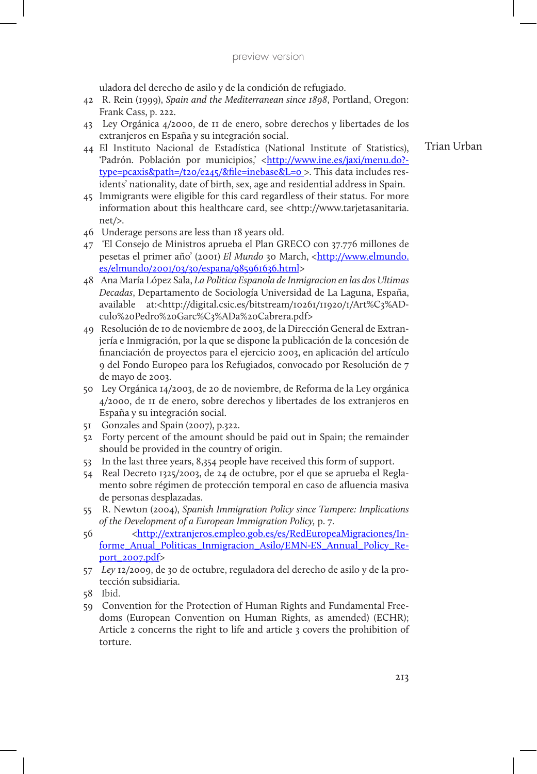uladora del derecho de asilo y de la condición de refugiado.

- 42 R. Rein (1999), *Spain and the Mediterranean since 1898*, Portland, Oregon: Frank Cass, p. 222.
- 43 Ley Orgánica 4/2000, de 11 de enero, sobre derechos y libertades de los extranjeros en España y su integración social.
- 44 El Instituto Nacional de Estadística (National Institute of Statistics), 'Padrón. Población por municipios,' <http://www.ine.es/jaxi/menu.do?type=pcaxis&path=/t20/e245/&file=inebase&L=0 >. This data includes residents' nationality, date of birth, sex, age and residential address in Spain.
- 45 Immigrants were eligible for this card regardless of their status. For more information about this healthcare card, see <http://www.tarjetasanitaria. net/>.
- 46 Underage persons are less than 18 years old.
- 47 'El Consejo de Ministros aprueba el Plan GRECO con 37.776 millones de pesetas el primer año' (2001) *El Mundo* 30 March, <http://www.elmundo. es/elmundo/2001/03/30/espana/985961636.html>
- 48 Ana María López Sala, *La Politica Espanola de Inmigracion en las dos Ultimas Decadas*, Departamento de Sociología Universidad de La Laguna, España, available at:*<*http://digital.csic.es/bitstream/10261/11920/1/Art%C3%ADculo%20Pedro%20Garc%C3%ADa%20Cabrera.pdf>
- 49 Resolución de 10 de noviembre de 2003, de la Dirección General de Extranjería e Inmigración, por la que se dispone la publicación de la concesión de financiación de proyectos para el ejercicio 2003, en aplicación del artículo 9 del Fondo Europeo para los Refugiados, convocado por Resolución de 7 de mayo de 2003.
- 50 Ley Orgánica 14/2003, de 20 de noviembre, de Reforma de la Ley orgánica 4/2000, de 11 de enero, sobre derechos y libertades de los extranjeros en España y su integración social.
- 51 Gonzales and Spain (2007), p.322.
- 52 Forty percent of the amount should be paid out in Spain; the remainder should be provided in the country of origin.
- 53 In the last three years, 8,354 people have received this form of support.
- 54 Real Decreto 1325/2003, de 24 de octubre, por el que se aprueba el Reglamento sobre régimen de protección temporal en caso de afluencia masiva de personas desplazadas.
- 55 R. Newton (2004), *Spanish Immigration Policy since Tampere: Implications of the Development of a European Immigration Policy,* p. 7.
- 56 <http://extranjeros.empleo.gob.es/es/RedEuropeaMigraciones/Informe\_Anual\_Politicas\_Inmigracion\_Asilo/EMN-ES\_Annual\_Policy\_Report\_2007.pdf>
- 57 *Ley* 12/2009, de 30 de octubre, reguladora del derecho de asilo y de la protección subsidiaria.
- 58 Ibid.
- 59 Convention for the Protection of Human Rights and Fundamental Freedoms (European Convention on Human Rights, as amended) (ECHR); Article 2 concerns the right to life and article 3 covers the prohibition of torture.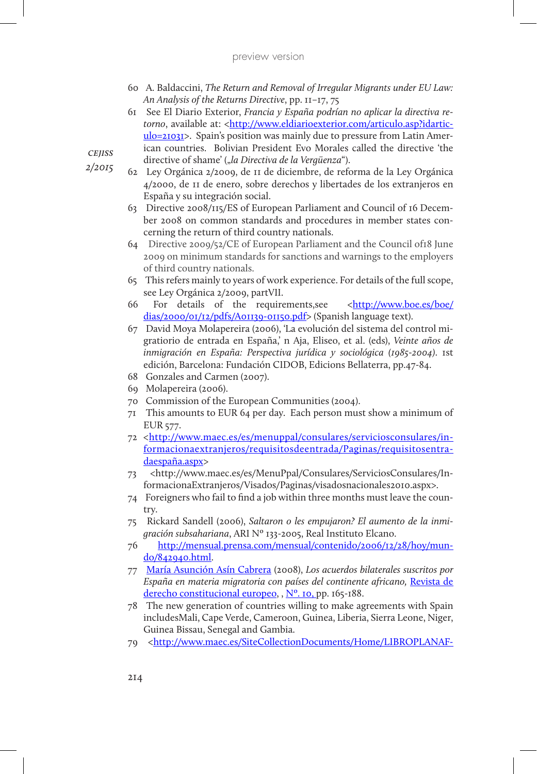- 60 A. Baldaccini, *The Return and Removal of Irregular Migrants under EU Law: An Analysis of the Returns Directive*, pp. 11–17, 75
- 61 See El Diario Exterior, *Francia y España podrían no aplicar la directiva retorno*, available at: <http://www.eldiarioexterior.com/articulo.asp?idarticulo=21031>. Spain's position was mainly due to pressure from Latin American countries. Bolivian President Evo Morales called the directive 'the directive of shame' ("*la Directiva de la Vergüenza*").
- 62 Ley Orgánica 2/2009, de 11 de diciembre, de reforma de la Ley Orgánica 4/2000, de 11 de enero, sobre derechos y libertades de los extranjeros en España y su integración social.
	- 63 Directive 2008/115/ES of European Parliament and Council of 16 December 2008 on common standards and procedures in member states concerning the return of third country nationals.
	- 64 Directive 2009/52/CE of European Parliament and the Council of18 June 2009 on minimum standards for sanctions and warnings to the employers of third country nationals.
	- 65 This refers mainly to years of work experience. For details of the full scope, see Ley Orgánica 2/2009, partVII.
	- 66 For details of the requirements, see <http://www.boe.es/boe/ dias/2000/01/12/pdfs/A01139-01150.pdf> (Spanish language text).
	- 67 David Moya Molapereira (2006), 'La evolución del sistema del control migratiorio de entrada en España,' n Aja, Eliseo, et al. (eds), *Veinte años de inmigración en España: Perspectiva jurídica y sociológica (1985-2004)*. 1st edición, Barcelona: Fundación CIDOB, Edicions Bellaterra, pp.47-84.
	- 68 Gonzales and Carmen (2007).
	- 69 Molapereira (2006).
	- 70 Commission of the European Communities (2004).
	- 71 This amounts to EUR 64 per day. Each person must show a minimum of EUR 577.
	- 72 <http://www.maec.es/es/menuppal/consulares/serviciosconsulares/informacionaextranjeros/requisitosdeentrada/Paginas/requisitosentradaespaña.aspx>
	- 73 <http://www.maec.es/es/MenuPpal/Consulares/ServiciosConsulares/InformacionaExtranjeros/Visados/Paginas/visadosnacionales2010.aspx>.
	- 74 Foreigners who fail to find a job within three months must leave the country.
	- 75 Rickard Sandell (2006), *Saltaron o les empujaron? El aumento de la inmigración subsahariana*, ARI Nº 133-2005, Real Instituto Elcano.
	- 76 http://mensual.prensa.com/mensual/contenido/2006/12/28/hoy/mundo/842940.html.
	- 77 María Asunción Asín Cabrera (2008), *Los acuerdos bilaterales suscritos por España en materia migratoria con países del continente africano,* Revista de derecho constitucional europeo, , Nº. 10, pp. 165-188.
	- 78 The new generation of countries willing to make agreements with Spain includesMali, Cape Verde, Cameroon, Guinea, Liberia, Sierra Leone, Niger, Guinea Bissau, Senegal and Gambia.
	- 79 <http://www.maec.es/SiteCollectionDocuments/Home/LIBROPLANAF-

*cejiss*

*2/2015*